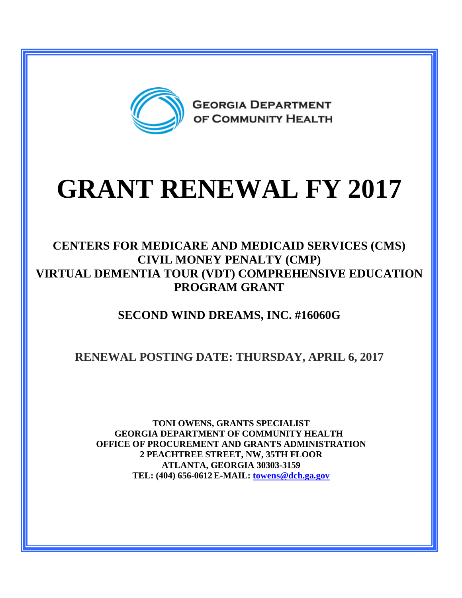

# **GRANT RENEWAL FY 2017**

#### **CENTERS FOR MEDICARE AND MEDICAID SERVICES (CMS) CIVIL MONEY PENALTY (CMP) VIRTUAL DEMENTIA TOUR (VDT) COMPREHENSIVE EDUCATION PROGRAM GRANT**

## **SECOND WIND DREAMS, INC. #16060G**

## **RENEWAL POSTING DATE: THURSDAY, APRIL 6, 2017**

**TONI OWENS, GRANTS SPECIALIST GEORGIA DEPARTMENT OF COMMUNITY HEALTH OFFICE OF PROCUREMENT AND GRANTS ADMINISTRATION 2 PEACHTREE STREET, NW, 35TH FLOOR ATLANTA, GEORGIA 30303-3159 TEL: (404) 656-0612 E-MAIL: [towens@dch.ga.gov](mailto:towens@dch.ga.gov)**